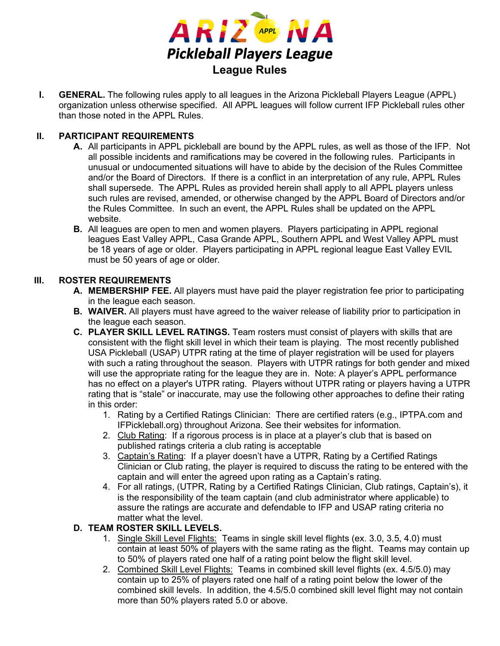

**I. GENERAL.** The following rules apply to all leagues in the Arizona Pickleball Players League (APPL) organization unless otherwise specified. All APPL leagues will follow current IFP Pickleball rules other than those noted in the APPL Rules.

#### **II. PARTICIPANT REQUIREMENTS**

- **A.** All participants in APPL pickleball are bound by the APPL rules, as well as those of the IFP. Not all possible incidents and ramifications may be covered in the following rules. Participants in unusual or undocumented situations will have to abide by the decision of the Rules Committee and/or the Board of Directors. If there is a conflict in an interpretation of any rule, APPL Rules shall supersede. The APPL Rules as provided herein shall apply to all APPL players unless such rules are revised, amended, or otherwise changed by the APPL Board of Directors and/or the Rules Committee. In such an event, the APPL Rules shall be updated on the APPL website.
- **B.** All leagues are open to men and women players. Players participating in APPL regional leagues East Valley APPL, Casa Grande APPL, Southern APPL and West Valley APPL must be 18 years of age or older. Players participating in APPL regional league East Valley EVIL must be 50 years of age or older.

#### **III. ROSTER REQUIREMENTS**

- **A. MEMBERSHIP FEE.** All players must have paid the player registration fee prior to participating in the league each season.
- **B. WAIVER.** All players must have agreed to the waiver release of liability prior to participation in the league each season.
- **C. PLAYER SKILL LEVEL RATINGS.** Team rosters must consist of players with skills that are consistent with the flight skill level in which their team is playing. The most recently published USA Pickleball (USAP) UTPR rating at the time of player registration will be used for players with such a rating throughout the season. Players with UTPR ratings for both gender and mixed will use the appropriate rating for the league they are in. Note: A player's APPL performance has no effect on a player's UTPR rating. Players without UTPR rating or players having a UTPR rating that is "stale" or inaccurate, may use the following other approaches to define their rating in this order:
	- 1. Rating by a Certified Ratings Clinician: There are certified raters (e.g., IPTPA.com and IFPickleball.org) throughout Arizona. See their websites for information.
	- 2. Club Rating: If a rigorous process is in place at a player's club that is based on published ratings criteria a club rating is acceptable
	- 3. Captain's Rating: If a player doesn't have a UTPR, Rating by a Certified Ratings Clinician or Club rating, the player is required to discuss the rating to be entered with the captain and will enter the agreed upon rating as a Captain's rating.
	- 4. For all ratings, (UTPR, Rating by a Certified Ratings Clinician, Club ratings, Captain's), it is the responsibility of the team captain (and club administrator where applicable) to assure the ratings are accurate and defendable to IFP and USAP rating criteria no matter what the level.

#### **D. TEAM ROSTER SKILL LEVELS.**

- 1. Single Skill Level Flights:Teams in single skill level flights (ex. 3.0, 3.5, 4.0) must contain at least 50% of players with the same rating as the flight. Teams may contain up to 50% of players rated one half of a rating point below the flight skill level.
- 2. Combined Skill Level Flights:Teams in combined skill level flights (ex. 4.5/5.0) may contain up to 25% of players rated one half of a rating point below the lower of the combined skill levels. In addition, the 4.5/5.0 combined skill level flight may not contain more than 50% players rated 5.0 or above.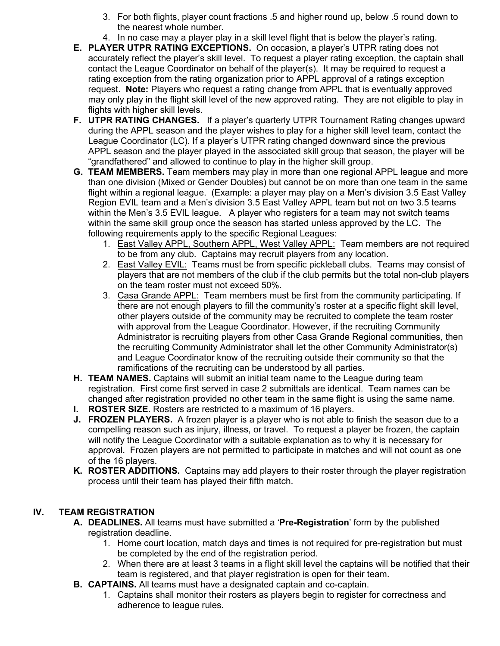- 3. For both flights, player count fractions .5 and higher round up, below .5 round down to the nearest whole number.
- 4. In no case may a player play in a skill level flight that is below the player's rating.
- **E. PLAYER UTPR RATING EXCEPTIONS.** On occasion, a player's UTPR rating does not accurately reflect the player's skill level. To request a player rating exception, the captain shall contact the League Coordinator on behalf of the player(s). It may be required to request a rating exception from the rating organization prior to APPL approval of a ratings exception request. **Note:** Players who request a rating change from APPL that is eventually approved may only play in the flight skill level of the new approved rating. They are not eligible to play in flights with higher skill levels.
- **F. UTPR RATING CHANGES.** If a player's quarterly UTPR Tournament Rating changes upward during the APPL season and the player wishes to play for a higher skill level team, contact the League Coordinator (LC). If a player's UTPR rating changed downward since the previous APPL season and the player played in the associated skill group that season, the player will be "grandfathered" and allowed to continue to play in the higher skill group.
- **G. TEAM MEMBERS.** Team members may play in more than one regional APPL league and more than one division (Mixed or Gender Doubles) but cannot be on more than one team in the same flight within a regional league. (Example: a player may play on a Men's division 3.5 East Valley Region EVIL team and a Men's division 3.5 East Valley APPL team but not on two 3.5 teams within the Men's 3.5 EVIL league. A player who registers for a team may not switch teams within the same skill group once the season has started unless approved by the LC. The following requirements apply to the specific Regional Leagues:
	- 1. East Valley APPL, Southern APPL, West Valley APPL: Team members are not required to be from any club. Captains may recruit players from any location.
	- 2. East Valley EVIL: Teams must be from specific pickleball clubs. Teams may consist of players that are not members of the club if the club permits but the total non-club players on the team roster must not exceed 50%.
	- 3. Casa Grande APPL: Team members must be first from the community participating. If there are not enough players to fill the community's roster at a specific flight skill level, other players outside of the community may be recruited to complete the team roster with approval from the League Coordinator. However, if the recruiting Community Administrator is recruiting players from other Casa Grande Regional communities, then the recruiting Community Administrator shall let the other Community Administrator(s) and League Coordinator know of the recruiting outside their community so that the ramifications of the recruiting can be understood by all parties.
- **H. TEAM NAMES.** Captains will submit an initial team name to the League during team registration. First come first served in case 2 submittals are identical. Team names can be changed after registration provided no other team in the same flight is using the same name.
- **I. ROSTER SIZE.** Rosters are restricted to a maximum of 16 players.
- **J. FROZEN PLAYERS.** A frozen player is a player who is not able to finish the season due to a compelling reason such as injury, illness, or travel. To request a player be frozen, the captain will notify the League Coordinator with a suitable explanation as to why it is necessary for approval. Frozen players are not permitted to participate in matches and will not count as one of the 16 players.
- **K. ROSTER ADDITIONS.** Captains may add players to their roster through the player registration process until their team has played their fifth match.

## **IV. TEAM REGISTRATION**

- **A. DEADLINES.** All teams must have submitted a '**Pre-Registration**' form by the published registration deadline.
	- 1. Home court location, match days and times is not required for pre-registration but must be completed by the end of the registration period.
	- 2. When there are at least 3 teams in a flight skill level the captains will be notified that their team is registered, and that player registration is open for their team.
- **B. CAPTAINS.** All teams must have a designated captain and co-captain.
	- 1. Captains shall monitor their rosters as players begin to register for correctness and adherence to league rules.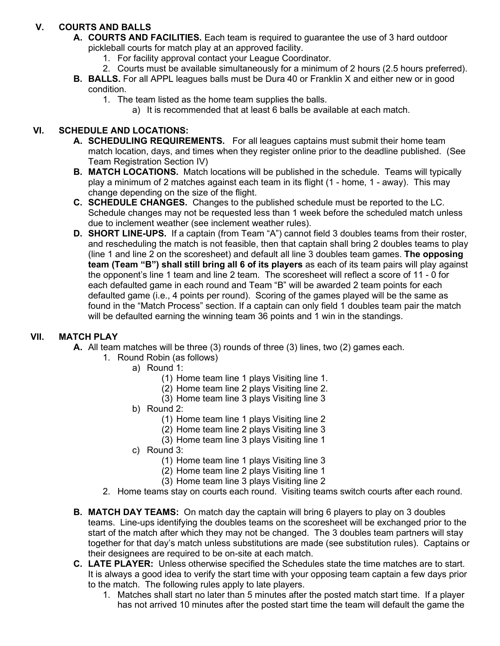# **V. COURTS AND BALLS**

- **A. COURTS AND FACILITIES.** Each team is required to guarantee the use of 3 hard outdoor pickleball courts for match play at an approved facility.
	- 1. For facility approval contact your League Coordinator.
	- 2. Courts must be available simultaneously for a minimum of 2 hours (2.5 hours preferred).
- **B. BALLS.** For all APPL leagues balls must be Dura 40 or Franklin X and either new or in good condition.
	- 1. The team listed as the home team supplies the balls.
		- a) It is recommended that at least 6 balls be available at each match.

## **VI. SCHEDULE AND LOCATIONS:**

- **A. SCHEDULING REQUIREMENTS.** For all leagues captains must submit their home team match location, days, and times when they register online prior to the deadline published. (See Team Registration Section IV)
- **B. MATCH LOCATIONS.** Match locations will be published in the schedule. Teams will typically play a minimum of 2 matches against each team in its flight (1 - home, 1 - away). This may change depending on the size of the flight.
- **C. SCHEDULE CHANGES.** Changes to the published schedule must be reported to the LC. Schedule changes may not be requested less than 1 week before the scheduled match unless due to inclement weather (see inclement weather rules).
- **D. SHORT LINE-UPS.** If a captain (from Team "A") cannot field 3 doubles teams from their roster, and rescheduling the match is not feasible, then that captain shall bring 2 doubles teams to play (line 1 and line 2 on the scoresheet) and default all line 3 doubles team games. **The opposing team (Team "B") shall still bring all 6 of its players** as each of its team pairs will play against the opponent's line 1 team and line 2 team. The scoresheet will reflect a score of 11 - 0 for each defaulted game in each round and Team "B" will be awarded 2 team points for each defaulted game (i.e., 4 points per round). Scoring of the games played will be the same as found in the "Match Process" section. If a captain can only field 1 doubles team pair the match will be defaulted earning the winning team 36 points and 1 win in the standings.

### **VII. MATCH PLAY**

- **A.** All team matches will be three (3) rounds of three (3) lines, two (2) games each.
	- 1. Round Robin (as follows)
		- a) Round 1:
			- (1) Home team line 1 plays Visiting line 1.
			- (2) Home team line 2 plays Visiting line 2.
			- (3) Home team line 3 plays Visiting line 3
		- b) Round 2:
			- (1) Home team line 1 plays Visiting line 2
			- (2) Home team line 2 plays Visiting line 3
			- (3) Home team line 3 plays Visiting line 1
		- c) Round 3:
			- (1) Home team line 1 plays Visiting line 3
			- (2) Home team line 2 plays Visiting line 1
			- (3) Home team line 3 plays Visiting line 2
		- 2. Home teams stay on courts each round. Visiting teams switch courts after each round.
- **B. MATCH DAY TEAMS:** On match day the captain will bring 6 players to play on 3 doubles teams. Line-ups identifying the doubles teams on the scoresheet will be exchanged prior to the start of the match after which they may not be changed. The 3 doubles team partners will stay together for that day's match unless substitutions are made (see substitution rules). Captains or their designees are required to be on-site at each match.
- **C. LATE PLAYER:** Unless otherwise specified the Schedules state the time matches are to start. It is always a good idea to verify the start time with your opposing team captain a few days prior to the match. The following rules apply to late players.
	- 1. Matches shall start no later than 5 minutes after the posted match start time. If a player has not arrived 10 minutes after the posted start time the team will default the game the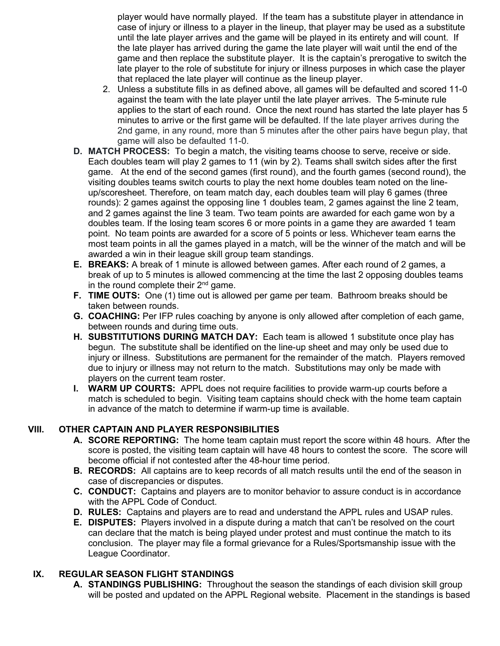player would have normally played. If the team has a substitute player in attendance in case of injury or illness to a player in the lineup, that player may be used as a substitute until the late player arrives and the game will be played in its entirety and will count. If the late player has arrived during the game the late player will wait until the end of the game and then replace the substitute player. It is the captain's prerogative to switch the late player to the role of substitute for injury or illness purposes in which case the player that replaced the late player will continue as the lineup player.

- 2. Unless a substitute fills in as defined above, all games will be defaulted and scored 11-0 against the team with the late player until the late player arrives. The 5-minute rule applies to the start of each round. Once the next round has started the late player has 5 minutes to arrive or the first game will be defaulted. If the late player arrives during the 2nd game, in any round, more than 5 minutes after the other pairs have begun play, that game will also be defaulted 11-0.
- **D. MATCH PROCESS:** To begin a match, the visiting teams choose to serve, receive or side. Each doubles team will play 2 games to 11 (win by 2). Teams shall switch sides after the first game. At the end of the second games (first round), and the fourth games (second round), the visiting doubles teams switch courts to play the next home doubles team noted on the lineup/scoresheet. Therefore, on team match day, each doubles team will play 6 games (three rounds): 2 games against the opposing line 1 doubles team, 2 games against the line 2 team, and 2 games against the line 3 team. Two team points are awarded for each game won by a doubles team. If the losing team scores 6 or more points in a game they are awarded 1 team point. No team points are awarded for a score of 5 points or less. Whichever team earns the most team points in all the games played in a match, will be the winner of the match and will be awarded a win in their league skill group team standings.
- **E. BREAKS:** A break of 1 minute is allowed between games. After each round of 2 games, a break of up to 5 minutes is allowed commencing at the time the last 2 opposing doubles teams in the round complete their  $2<sup>nd</sup>$  game.
- **F. TIME OUTS:** One (1) time out is allowed per game per team. Bathroom breaks should be taken between rounds.
- **G. COACHING:** Per IFP rules coaching by anyone is only allowed after completion of each game, between rounds and during time outs.
- **H. SUBSTITUTIONS DURING MATCH DAY:** Each team is allowed 1 substitute once play has begun. The substitute shall be identified on the line-up sheet and may only be used due to injury or illness. Substitutions are permanent for the remainder of the match. Players removed due to injury or illness may not return to the match. Substitutions may only be made with players on the current team roster.
- **I. WARM UP COURTS:** APPL does not require facilities to provide warm-up courts before a match is scheduled to begin. Visiting team captains should check with the home team captain in advance of the match to determine if warm-up time is available.

### **VIII. OTHER CAPTAIN AND PLAYER RESPONSIBILITIES**

- **A. SCORE REPORTING:** The home team captain must report the score within 48 hours. After the score is posted, the visiting team captain will have 48 hours to contest the score. The score will become official if not contested after the 48-hour time period.
- **B. RECORDS:** All captains are to keep records of all match results until the end of the season in case of discrepancies or disputes.
- **C. CONDUCT:** Captains and players are to monitor behavior to assure conduct is in accordance with the APPL Code of Conduct.
- **D. RULES:** Captains and players are to read and understand the APPL rules and USAP rules.
- **E. DISPUTES:** Players involved in a dispute during a match that can't be resolved on the court can declare that the match is being played under protest and must continue the match to its conclusion. The player may file a formal grievance for a Rules/Sportsmanship issue with the League Coordinator.

### **IX. REGULAR SEASON FLIGHT STANDINGS**

**A. STANDINGS PUBLISHING:** Throughout the season the standings of each division skill group will be posted and updated on the APPL Regional website. Placement in the standings is based